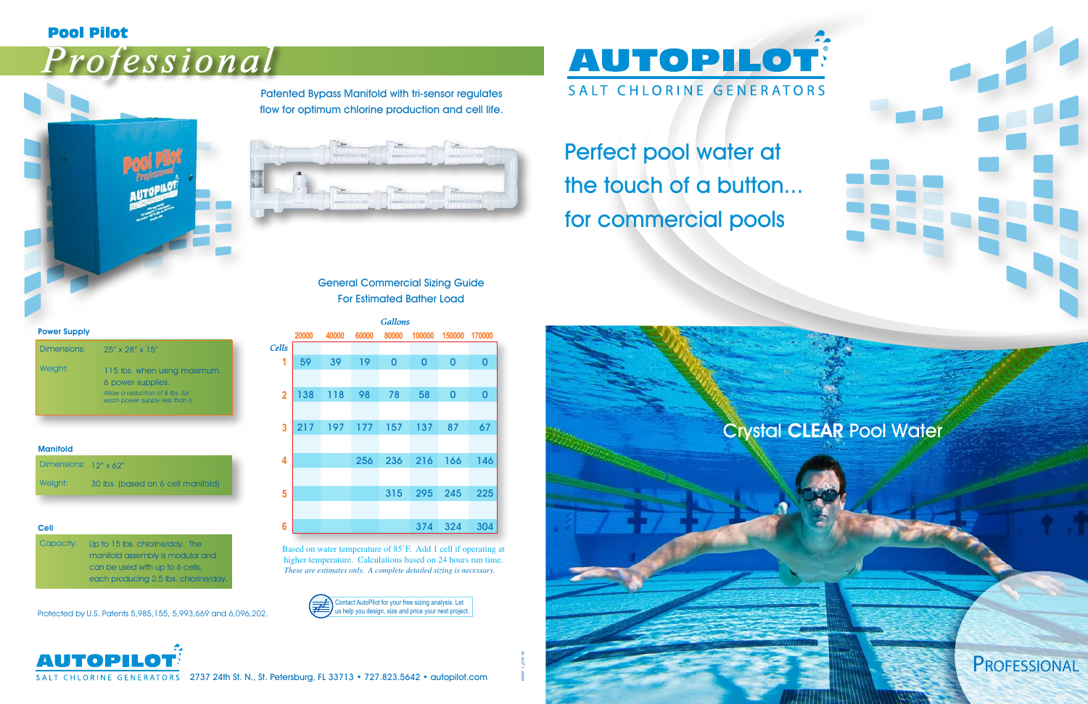### **Pool Pilot**

# Professional



Patented Bypass Manifold with tri-sensor regulates flow for optimum chlorine production and cell life.



|                |       |       |       | <b>Gallons</b> |             |        |          |
|----------------|-------|-------|-------|----------------|-------------|--------|----------|
|                | 20000 | 40000 | 60000 | 80000          | 100000      | 150000 | 170000   |
| `ells          |       |       |       |                |             |        |          |
| 1              | 59    | 39    | 19    | $\overline{0}$ | $\mathbf 0$ | 0      | $\bf{0}$ |
|                |       |       |       |                |             |        |          |
| $\overline{2}$ | 138   | 118   | 98    | 78             | 58          | 0      | $\bf{0}$ |
|                |       |       |       |                |             |        |          |
| 3              | 217   | 197   | 177   | 157            | 137         | 87     | 67       |
|                |       |       |       |                |             |        |          |
| 4              |       |       | 256   | 236            | 216         | 166    | 146      |
|                |       |       |       |                |             |        |          |
| 5              |       |       |       | 315            | 295         | 245    | 225      |
|                |       |       |       |                |             |        |          |
| $6\phantom{a}$ |       |       |       |                | 374         | 324    | 304      |

Based on water temperature of 85˚F. Add 1 cell if operating at higher temperature. Calculations based on 24 hours run time. *These are estimates only. A complete detailed sizing is necessary.*



| Dimensions: 12" x 62" |                                    |
|-----------------------|------------------------------------|
| Weight:               | 30 lbs. (based on 6 cell manifold) |

Contact AutoPilot for your free sizing analysis. Let us help you design, size and price your next project.





SALT CHLORINE GENERATORS 2737 24th St. N., St. Petersburg, FL 33713 • 727.823.5642 • autopilot.com

| <b>Manifold</b> |  |  |
|-----------------|--|--|

**AUTOPILOT** SALT CHLORINE GENERATORS Perfect pool water at the touch of a button... for commercial pools

| Dimensions: | $25''$ x $28''$ x $15''$                                         |
|-------------|------------------------------------------------------------------|
| Weight:     | 115 lbs. when using maximum<br>6 power supplies.                 |
|             | Allow a reduction of 8 lbs for<br>each power supply less than 6. |

Power Supply

Cell

| Capacity: | Up to 15 lbs. chlorine/day. The       |
|-----------|---------------------------------------|
|           | manifold assembly is modular and      |
|           | can be used with up to 6 cells,       |
|           | each producing 2.5 lbs. chlorine/day. |

#### General Commercial Sizing Guide For Estimated Bather Load

Protected by U.S. Patents 5,985,155, 5,993,669 and 6,096,202.

## PROFESSIONAL

## Crystal CLEAR Pool Water